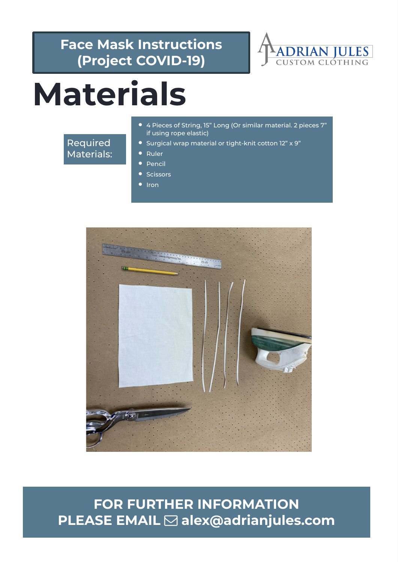

## **Materials**

#### Required Materials:

- 4 Pieces of String, 15" Long (Or similar material. 2 pieces 7" if using rope elastic)
- Surgical wrap material or tight-knit cotton 12" x 9"

#### • Ruler

- Pencil
- Scissors
- Iron



#### **FOR FURTHER INFORMATION PLEASE EMAIL alex@adrianjules.com**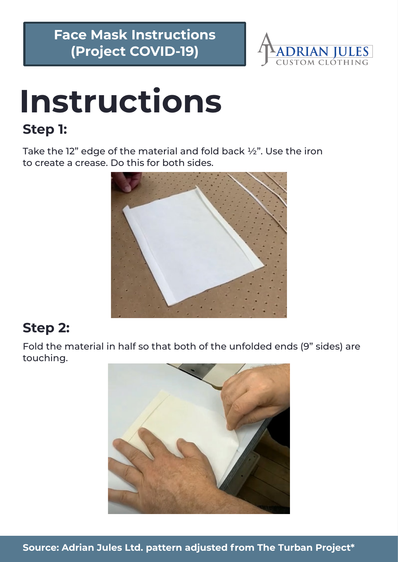

# **Instructions**

#### **Step 1:**

Take the 12" edge of the material and fold back ½". Use the iron to create a crease. Do this for both sides.



#### **Step 2:**

Fold the material in half so that both of the unfolded ends (9" sides) are touching.

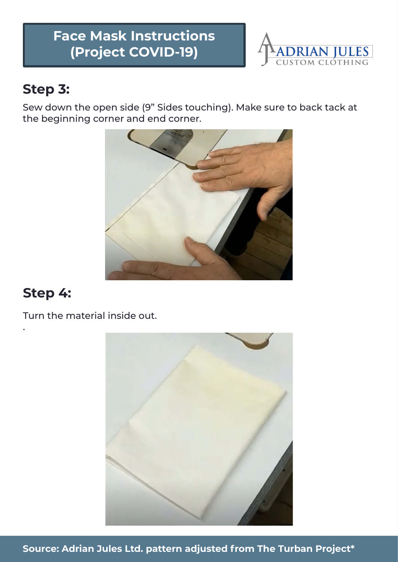

## **Step 3:**

Sew down the open side (9" Sides touching). Make sure to back tack at the beginning corner and end corner.



#### **Step 4:**

.

Turn the material inside out.



**Source: Adrian Jules Ltd. pattern adjusted from The Turban Project\***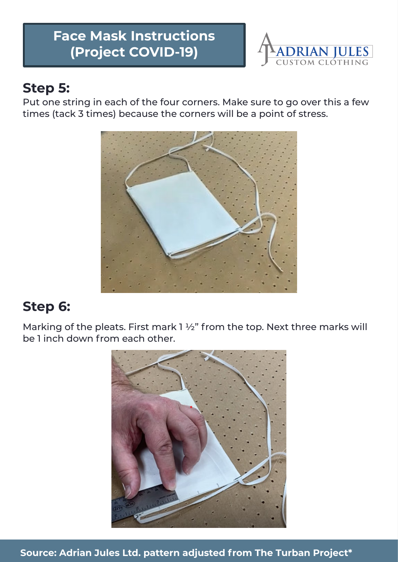

#### **Step 5:**

Put one string in each of the four corners. Make sure to go over this a few times (tack 3 times) because the corners will be a point of stress.



## **Step 6:**

Marking of the pleats. First mark 1 1/2" from the top. Next three marks will be 1 inch down from each other.

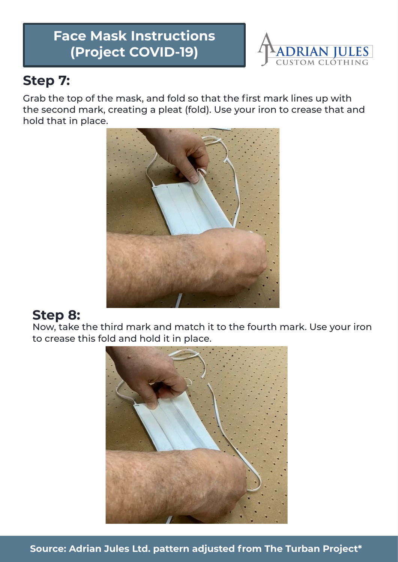#### **Step 7:**

Grab the top of the mask, and fold so that the first mark lines up with the second mark, creating a pleat (fold). Use your iron to crease that and hold that in place.

**RIAN JULES** 



#### **Step 8:**

Now, take the third mark and match it to the fourth mark. Use your iron to crease this fold and hold it in place.

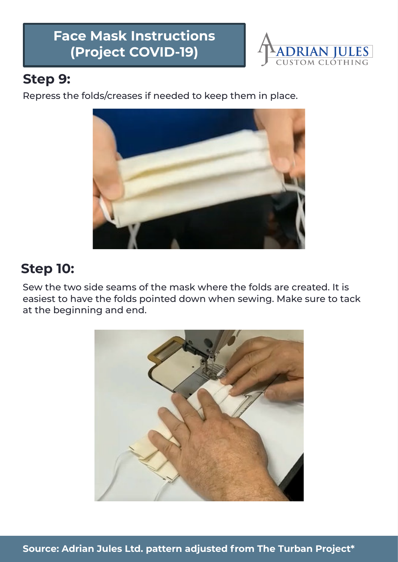

#### **Step 9:**

Repress the folds/creases if needed to keep them in place.



#### **Step 10:**

Sew the two side seams of the mask where the folds are created. It is easiest to have the folds pointed down when sewing. Make sure to tack at the beginning and end.